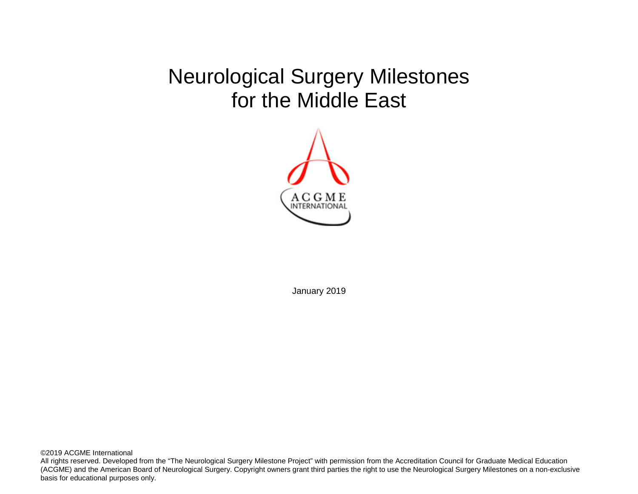# Neurological Surgery Milestones for the Middle East



January 2019

©2019 ACGME International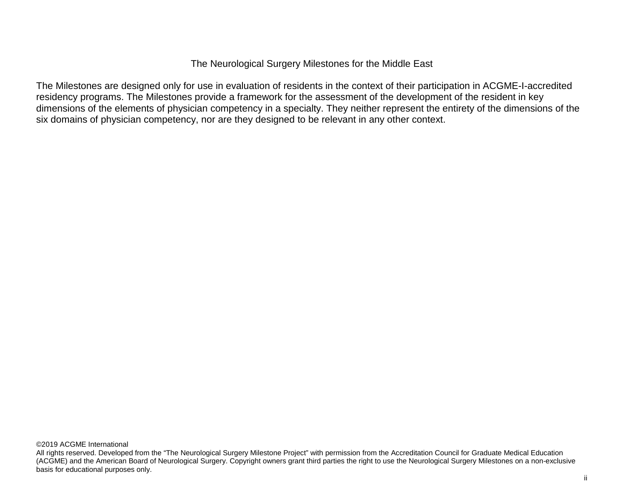The Neurological Surgery Milestones for the Middle East

The Milestones are designed only for use in evaluation of residents in the context of their participation in ACGME-I-accredited residency programs. The Milestones provide a framework for the assessment of the development of the resident in key dimensions of the elements of physician competency in a specialty. They neither represent the entirety of the dimensions of the six domains of physician competency, nor are they designed to be relevant in any other context.

©2019 ACGME International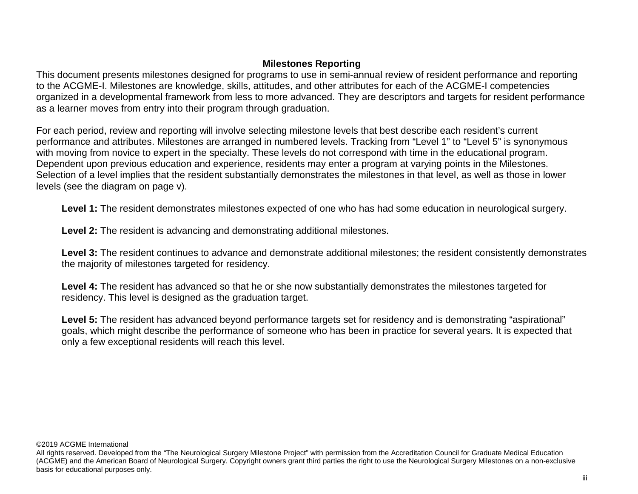# **Milestones Reporting**

This document presents milestones designed for programs to use in semi-annual review of resident performance and reporting to the ACGME-I. Milestones are knowledge, skills, attitudes, and other attributes for each of the ACGME-I competencies organized in a developmental framework from less to more advanced. They are descriptors and targets for resident performance as a learner moves from entry into their program through graduation.

For each period, review and reporting will involve selecting milestone levels that best describe each resident's current performance and attributes. Milestones are arranged in numbered levels. Tracking from "Level 1" to "Level 5" is synonymous with moving from novice to expert in the specialty. These levels do not correspond with time in the educational program. Dependent upon previous education and experience, residents may enter a program at varying points in the Milestones. Selection of a level implies that the resident substantially demonstrates the milestones in that level, as well as those in lower levels (see the diagram on page v).

**Level 1:** The resident demonstrates milestones expected of one who has had some education in neurological surgery.

**Level 2:** The resident is advancing and demonstrating additional milestones.

**Level 3:** The resident continues to advance and demonstrate additional milestones; the resident consistently demonstrates the majority of milestones targeted for residency.

**Level 4:** The resident has advanced so that he or she now substantially demonstrates the milestones targeted for residency. This level is designed as the graduation target.

**Level 5:** The resident has advanced beyond performance targets set for residency and is demonstrating "aspirational" goals, which might describe the performance of someone who has been in practice for several years. It is expected that only a few exceptional residents will reach this level.

#### ©2019 ACGME International

All rights reserved. Developed from the "The Neurological Surgery Milestone Project" with permission from the Accreditation Council for Graduate Medical Education (ACGME) and the American Board of Neurological Surgery. Copyright owners grant third parties the right to use the Neurological Surgery Milestones on a non-exclusive basis for educational purposes only.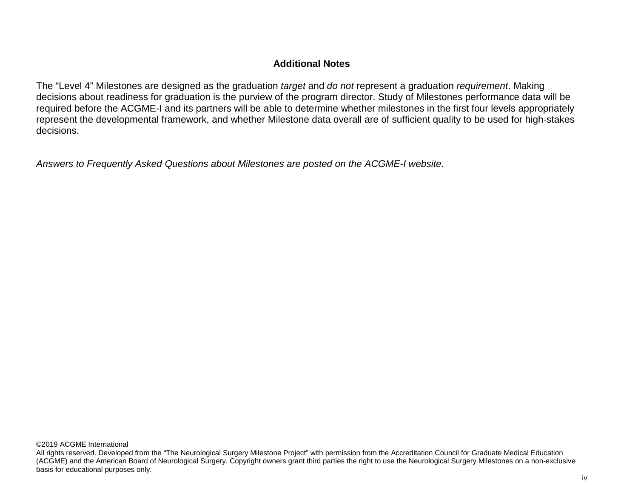## **Additional Notes**

The "Level 4" Milestones are designed as the graduation *target* and *do not* represent a graduation *requirement*. Making decisions about readiness for graduation is the purview of the program director. Study of Milestones performance data will be required before the ACGME-I and its partners will be able to determine whether milestones in the first four levels appropriately represent the developmental framework, and whether Milestone data overall are of sufficient quality to be used for high-stakes decisions.

*Answers to Frequently Asked Questions about Milestones are posted on the ACGME-I website.*

©2019 ACGME International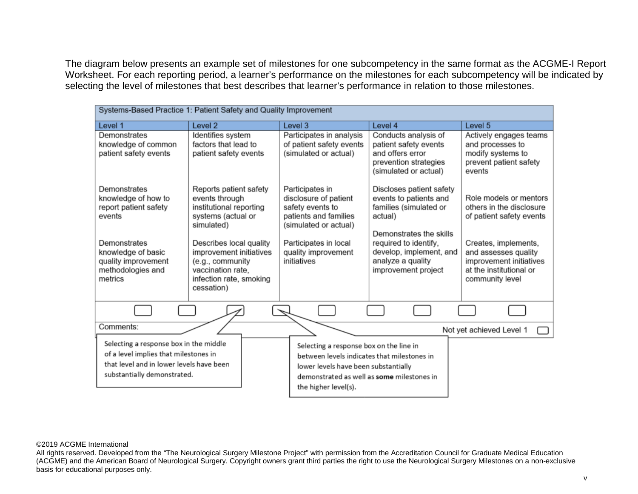The diagram below presents an example set of milestones for one subcompetency in the same format as the ACGME-I Report Worksheet. For each reporting period, a learner's performance on the milestones for each subcompetency will be indicated by selecting the level of milestones that best describes that learner's performance in relation to those milestones.

| Systems-Based Practice 1: Patient Safety and Quality Improvement                                                                                           |                                                                                                                                      |                                                                                                                                                                                                      |                                                                                                                     |                                                                                                                       |
|------------------------------------------------------------------------------------------------------------------------------------------------------------|--------------------------------------------------------------------------------------------------------------------------------------|------------------------------------------------------------------------------------------------------------------------------------------------------------------------------------------------------|---------------------------------------------------------------------------------------------------------------------|-----------------------------------------------------------------------------------------------------------------------|
| Level 1                                                                                                                                                    | Level <sub>2</sub>                                                                                                                   | Level <sub>3</sub>                                                                                                                                                                                   | Level 4                                                                                                             | Level 5                                                                                                               |
| Demonstrates<br>knowledge of common<br>patient safety events                                                                                               | Identifies system<br>factors that lead to<br>patient safety events                                                                   | Participates in analysis<br>of patient safety events<br>(simulated or actual)                                                                                                                        | Conducts analysis of<br>patient safety events<br>and offers error<br>prevention strategies<br>(simulated or actual) | Actively engages teams<br>and processes to<br>modify systems to<br>prevent patient safety<br>events                   |
| Demonstrates<br>knowledge of how to<br>report patient safety<br>events                                                                                     | Reports patient safety<br>events through<br>institutional reporting<br>systems (actual or<br>simulated)                              | Participates in<br>disclosure of patient<br>safety events to<br>patients and families<br>(simulated or actual)                                                                                       | Discloses patient safety<br>events to patients and<br>families (simulated or<br>actual)<br>Demonstrates the skills  | Role models or mentors<br>others in the disclosure<br>of patient safety events                                        |
| Demonstrates<br>knowledge of basic<br>quality improvement<br>methodologies and<br>metrics                                                                  | Describes local quality<br>improvement initiatives<br>(e.g., community<br>vaccination rate,<br>infection rate, smoking<br>cessation) | Participates in local<br>quality improvement<br>initiatives                                                                                                                                          | required to identify,<br>develop, implement, and<br>analyze a quality<br>improvement project                        | Creates, implements,<br>and assesses quality<br>improvement initiatives<br>at the institutional or<br>community level |
|                                                                                                                                                            |                                                                                                                                      |                                                                                                                                                                                                      |                                                                                                                     |                                                                                                                       |
| Comments:                                                                                                                                                  |                                                                                                                                      |                                                                                                                                                                                                      |                                                                                                                     | Not yet achieved Level 1                                                                                              |
| Selecting a response box in the middle<br>of a level implies that milestones in<br>that level and in lower levels have been<br>substantially demonstrated. |                                                                                                                                      | Selecting a response box on the line in<br>between levels indicates that milestones in<br>lower levels have been substantially<br>demonstrated as well as some milestones in<br>the higher level(s). |                                                                                                                     |                                                                                                                       |

#### ©2019 ACGME International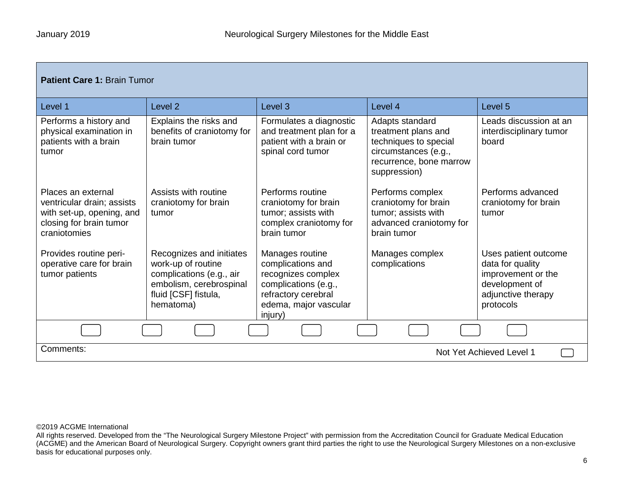| <b>Patient Care 1: Brain Tumor</b>                                                                                       |                                                                                                                                            |                                                                                                                                               |                                                                                                                                    |                                                                                                                     |
|--------------------------------------------------------------------------------------------------------------------------|--------------------------------------------------------------------------------------------------------------------------------------------|-----------------------------------------------------------------------------------------------------------------------------------------------|------------------------------------------------------------------------------------------------------------------------------------|---------------------------------------------------------------------------------------------------------------------|
| Level 1                                                                                                                  | Level <sub>2</sub>                                                                                                                         | Level <sub>3</sub>                                                                                                                            | Level 4                                                                                                                            | Level <sub>5</sub>                                                                                                  |
| Performs a history and<br>physical examination in<br>patients with a brain<br>tumor                                      | Explains the risks and<br>benefits of craniotomy for<br>brain tumor                                                                        | Formulates a diagnostic<br>and treatment plan for a<br>patient with a brain or<br>spinal cord tumor                                           | Adapts standard<br>treatment plans and<br>techniques to special<br>circumstances (e.g.,<br>recurrence, bone marrow<br>suppression) | Leads discussion at an<br>interdisciplinary tumor<br>board                                                          |
| Places an external<br>ventricular drain; assists<br>with set-up, opening, and<br>closing for brain tumor<br>craniotomies | Assists with routine<br>craniotomy for brain<br>tumor                                                                                      | Performs routine<br>craniotomy for brain<br>tumor; assists with<br>complex craniotomy for<br>brain tumor                                      | Performs complex<br>craniotomy for brain<br>tumor; assists with<br>advanced craniotomy for<br>brain tumor                          | Performs advanced<br>craniotomy for brain<br>tumor                                                                  |
| Provides routine peri-<br>operative care for brain<br>tumor patients                                                     | Recognizes and initiates<br>work-up of routine<br>complications (e.g., air<br>embolism, cerebrospinal<br>fluid [CSF] fistula,<br>hematoma) | Manages routine<br>complications and<br>recognizes complex<br>complications (e.g.,<br>refractory cerebral<br>edema, major vascular<br>injury) | Manages complex<br>complications                                                                                                   | Uses patient outcome<br>data for quality<br>improvement or the<br>development of<br>adjunctive therapy<br>protocols |
|                                                                                                                          |                                                                                                                                            |                                                                                                                                               |                                                                                                                                    |                                                                                                                     |
| Comments:                                                                                                                |                                                                                                                                            |                                                                                                                                               |                                                                                                                                    | Not Yet Achieved Level 1                                                                                            |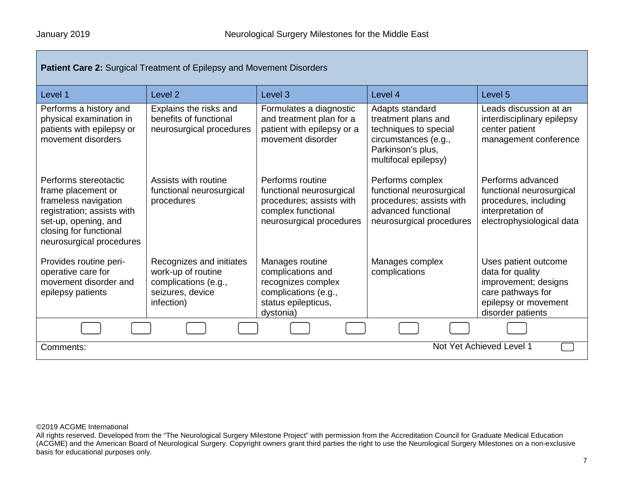| <b>Patient Care 2: Surgical Treatment of Epilepsy and Movement Disorders</b>                                                                                                    |                                                                                                          |                                                                                                                            |                                                                                                                                      |                                                                                                                                    |
|---------------------------------------------------------------------------------------------------------------------------------------------------------------------------------|----------------------------------------------------------------------------------------------------------|----------------------------------------------------------------------------------------------------------------------------|--------------------------------------------------------------------------------------------------------------------------------------|------------------------------------------------------------------------------------------------------------------------------------|
| Level 1                                                                                                                                                                         | Level <sub>2</sub>                                                                                       | Level <sub>3</sub>                                                                                                         | Level 4                                                                                                                              | Level <sub>5</sub>                                                                                                                 |
| Performs a history and<br>physical examination in<br>patients with epilepsy or<br>movement disorders                                                                            | Explains the risks and<br>benefits of functional<br>neurosurgical procedures                             | Formulates a diagnostic<br>and treatment plan for a<br>patient with epilepsy or a<br>movement disorder                     | Adapts standard<br>treatment plans and<br>techniques to special<br>circumstances (e.g.,<br>Parkinson's plus,<br>multifocal epilepsy) | Leads discussion at an<br>interdisciplinary epilepsy<br>center patient<br>management conference                                    |
| Performs stereotactic<br>frame placement or<br>frameless navigation<br>registration; assists with<br>set-up, opening, and<br>closing for functional<br>neurosurgical procedures | Assists with routine<br>functional neurosurgical<br>procedures                                           | Performs routine<br>functional neurosurgical<br>procedures; assists with<br>complex functional<br>neurosurgical procedures | Performs complex<br>functional neurosurgical<br>procedures; assists with<br>advanced functional<br>neurosurgical procedures          | Performs advanced<br>functional neurosurgical<br>procedures, including<br>interpretation of<br>electrophysiological data           |
| Provides routine peri-<br>operative care for<br>movement disorder and<br>epilepsy patients                                                                                      | Recognizes and initiates<br>work-up of routine<br>complications (e.g.,<br>seizures, device<br>infection) | Manages routine<br>complications and<br>recognizes complex<br>complications (e.g.,<br>status epilepticus,<br>dystonia)     | Manages complex<br>complications                                                                                                     | Uses patient outcome<br>data for quality<br>improvement; designs<br>care pathways for<br>epilepsy or movement<br>disorder patients |
|                                                                                                                                                                                 |                                                                                                          |                                                                                                                            |                                                                                                                                      |                                                                                                                                    |
| Not Yet Achieved Level 1<br>Comments:                                                                                                                                           |                                                                                                          |                                                                                                                            |                                                                                                                                      |                                                                                                                                    |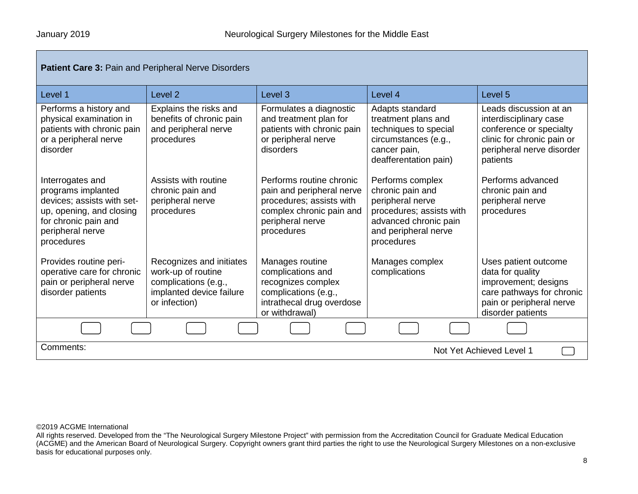| Patient Care 3: Pain and Peripheral Nerve Disorders                                                                                                        |                                                                                                                     |                                                                                                                                                 |                                                                                                                                                     |                                                                                                                                                    |
|------------------------------------------------------------------------------------------------------------------------------------------------------------|---------------------------------------------------------------------------------------------------------------------|-------------------------------------------------------------------------------------------------------------------------------------------------|-----------------------------------------------------------------------------------------------------------------------------------------------------|----------------------------------------------------------------------------------------------------------------------------------------------------|
| Level 1                                                                                                                                                    | Level <sub>2</sub>                                                                                                  | Level <sub>3</sub>                                                                                                                              | Level 4                                                                                                                                             | Level <sub>5</sub>                                                                                                                                 |
| Performs a history and<br>physical examination in<br>patients with chronic pain<br>or a peripheral nerve<br>disorder                                       | Explains the risks and<br>benefits of chronic pain<br>and peripheral nerve<br>procedures                            | Formulates a diagnostic<br>and treatment plan for<br>patients with chronic pain<br>or peripheral nerve<br>disorders                             | Adapts standard<br>treatment plans and<br>techniques to special<br>circumstances (e.g.,<br>cancer pain,<br>deafferentation pain)                    | Leads discussion at an<br>interdisciplinary case<br>conference or specialty<br>clinic for chronic pain or<br>peripheral nerve disorder<br>patients |
| Interrogates and<br>programs implanted<br>devices; assists with set-<br>up, opening, and closing<br>for chronic pain and<br>peripheral nerve<br>procedures | Assists with routine<br>chronic pain and<br>peripheral nerve<br>procedures                                          | Performs routine chronic<br>pain and peripheral nerve<br>procedures; assists with<br>complex chronic pain and<br>peripheral nerve<br>procedures | Performs complex<br>chronic pain and<br>peripheral nerve<br>procedures; assists with<br>advanced chronic pain<br>and peripheral nerve<br>procedures | Performs advanced<br>chronic pain and<br>peripheral nerve<br>procedures                                                                            |
| Provides routine peri-<br>operative care for chronic<br>pain or peripheral nerve<br>disorder patients                                                      | Recognizes and initiates<br>work-up of routine<br>complications (e.g.,<br>implanted device failure<br>or infection) | Manages routine<br>complications and<br>recognizes complex<br>complications (e.g.,<br>intrathecal drug overdose<br>or withdrawal)               | Manages complex<br>complications                                                                                                                    | Uses patient outcome<br>data for quality<br>improvement; designs<br>care pathways for chronic<br>pain or peripheral nerve<br>disorder patients     |
|                                                                                                                                                            |                                                                                                                     |                                                                                                                                                 |                                                                                                                                                     |                                                                                                                                                    |
| Comments:<br>Not Yet Achieved Level 1                                                                                                                      |                                                                                                                     |                                                                                                                                                 |                                                                                                                                                     |                                                                                                                                                    |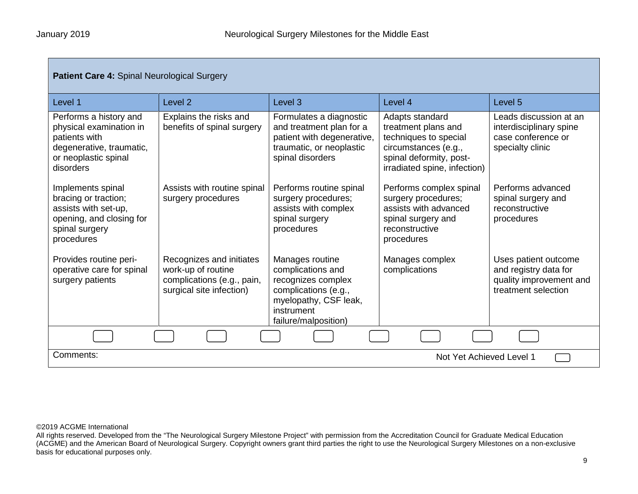| <b>Patient Care 4: Spinal Neurological Surgery</b>                                                                                  |                                                                                                          |                                                                                                                                                   |                                                                                                                                                    |                                                                                                 |
|-------------------------------------------------------------------------------------------------------------------------------------|----------------------------------------------------------------------------------------------------------|---------------------------------------------------------------------------------------------------------------------------------------------------|----------------------------------------------------------------------------------------------------------------------------------------------------|-------------------------------------------------------------------------------------------------|
| Level 1                                                                                                                             | Level <sub>2</sub>                                                                                       | Level <sub>3</sub>                                                                                                                                | Level 4                                                                                                                                            | Level 5                                                                                         |
| Performs a history and<br>physical examination in<br>patients with<br>degenerative, traumatic,<br>or neoplastic spinal<br>disorders | Explains the risks and<br>benefits of spinal surgery                                                     | Formulates a diagnostic<br>and treatment plan for a<br>patient with degenerative,<br>traumatic, or neoplastic<br>spinal disorders                 | Adapts standard<br>treatment plans and<br>techniques to special<br>circumstances (e.g.,<br>spinal deformity, post-<br>irradiated spine, infection) | Leads discussion at an<br>interdisciplinary spine<br>case conference or<br>specialty clinic     |
| Implements spinal<br>bracing or traction;<br>assists with set-up,<br>opening, and closing for<br>spinal surgery<br>procedures       | Assists with routine spinal<br>surgery procedures                                                        | Performs routine spinal<br>surgery procedures;<br>assists with complex<br>spinal surgery<br>procedures                                            | Performs complex spinal<br>surgery procedures;<br>assists with advanced<br>spinal surgery and<br>reconstructive<br>procedures                      | Performs advanced<br>spinal surgery and<br>reconstructive<br>procedures                         |
| Provides routine peri-<br>operative care for spinal<br>surgery patients                                                             | Recognizes and initiates<br>work-up of routine<br>complications (e.g., pain,<br>surgical site infection) | Manages routine<br>complications and<br>recognizes complex<br>complications (e.g.,<br>myelopathy, CSF leak,<br>instrument<br>failure/malposition) | Manages complex<br>complications                                                                                                                   | Uses patient outcome<br>and registry data for<br>quality improvement and<br>treatment selection |
|                                                                                                                                     |                                                                                                          |                                                                                                                                                   |                                                                                                                                                    |                                                                                                 |
| Comments:<br>Not Yet Achieved Level 1                                                                                               |                                                                                                          |                                                                                                                                                   |                                                                                                                                                    |                                                                                                 |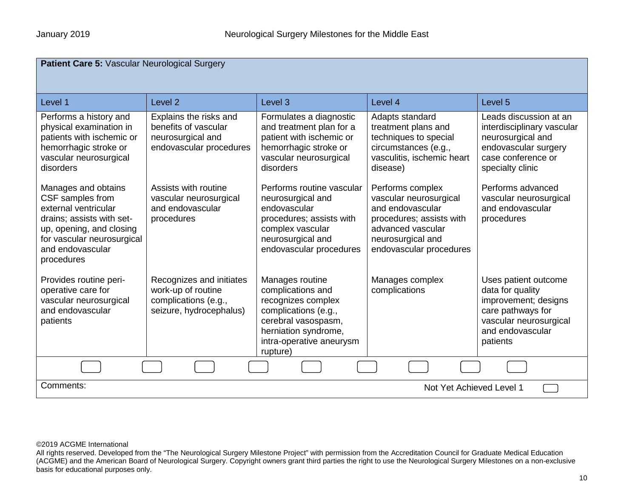| Patient Care 5: Vascular Neurological Surgery                                                                                                                                            |                                                                                                   |                                                                                                                                                                           |                                                                                                                                                                 |                                                                                                                                                 |
|------------------------------------------------------------------------------------------------------------------------------------------------------------------------------------------|---------------------------------------------------------------------------------------------------|---------------------------------------------------------------------------------------------------------------------------------------------------------------------------|-----------------------------------------------------------------------------------------------------------------------------------------------------------------|-------------------------------------------------------------------------------------------------------------------------------------------------|
| Level 1                                                                                                                                                                                  | Level <sub>2</sub>                                                                                | Level <sub>3</sub>                                                                                                                                                        | Level 4                                                                                                                                                         | Level 5                                                                                                                                         |
| Performs a history and<br>physical examination in<br>patients with ischemic or<br>hemorrhagic stroke or<br>vascular neurosurgical<br>disorders                                           | Explains the risks and<br>benefits of vascular<br>neurosurgical and<br>endovascular procedures    | Formulates a diagnostic<br>and treatment plan for a<br>patient with ischemic or<br>hemorrhagic stroke or<br>vascular neurosurgical<br>disorders                           | Adapts standard<br>treatment plans and<br>techniques to special<br>circumstances (e.g.,<br>vasculitis, ischemic heart<br>disease)                               | Leads discussion at an<br>interdisciplinary vascular<br>neurosurgical and<br>endovascular surgery<br>case conference or<br>specialty clinic     |
| Manages and obtains<br>CSF samples from<br>external ventricular<br>drains; assists with set-<br>up, opening, and closing<br>for vascular neurosurgical<br>and endovascular<br>procedures | Assists with routine<br>vascular neurosurgical<br>and endovascular<br>procedures                  | Performs routine vascular<br>neurosurgical and<br>endovascular<br>procedures; assists with<br>complex vascular<br>neurosurgical and<br>endovascular procedures            | Performs complex<br>vascular neurosurgical<br>and endovascular<br>procedures; assists with<br>advanced vascular<br>neurosurgical and<br>endovascular procedures | Performs advanced<br>vascular neurosurgical<br>and endovascular<br>procedures                                                                   |
| Provides routine peri-<br>operative care for<br>vascular neurosurgical<br>and endovascular<br>patients                                                                                   | Recognizes and initiates<br>work-up of routine<br>complications (e.g.,<br>seizure, hydrocephalus) | Manages routine<br>complications and<br>recognizes complex<br>complications (e.g.,<br>cerebral vasospasm,<br>herniation syndrome,<br>intra-operative aneurysm<br>rupture) | Manages complex<br>complications                                                                                                                                | Uses patient outcome<br>data for quality<br>improvement; designs<br>care pathways for<br>vascular neurosurgical<br>and endovascular<br>patients |
|                                                                                                                                                                                          |                                                                                                   |                                                                                                                                                                           |                                                                                                                                                                 |                                                                                                                                                 |
| Comments:<br>Not Yet Achieved Level 1                                                                                                                                                    |                                                                                                   |                                                                                                                                                                           |                                                                                                                                                                 |                                                                                                                                                 |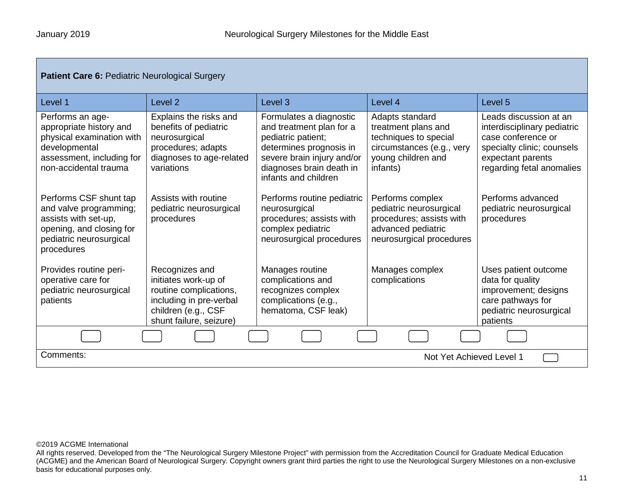Г

| <b>Patient Care 6: Pediatric Neurological Surgery</b>                                                                                           |                                                                                                                                               |                                                                                                                                                                                        |                                                                                                                                |                                                                                                                                                             |
|-------------------------------------------------------------------------------------------------------------------------------------------------|-----------------------------------------------------------------------------------------------------------------------------------------------|----------------------------------------------------------------------------------------------------------------------------------------------------------------------------------------|--------------------------------------------------------------------------------------------------------------------------------|-------------------------------------------------------------------------------------------------------------------------------------------------------------|
| Level 1                                                                                                                                         | Level <sub>2</sub>                                                                                                                            | Level <sub>3</sub>                                                                                                                                                                     | Level 4                                                                                                                        | Level 5                                                                                                                                                     |
| Performs an age-<br>appropriate history and<br>physical examination with<br>developmental<br>assessment, including for<br>non-accidental trauma | Explains the risks and<br>benefits of pediatric<br>neurosurgical<br>procedures; adapts<br>diagnoses to age-related<br>variations              | Formulates a diagnostic<br>and treatment plan for a<br>pediatric patient;<br>determines prognosis in<br>severe brain injury and/or<br>diagnoses brain death in<br>infants and children | Adapts standard<br>treatment plans and<br>techniques to special<br>circumstances (e.g., very<br>young children and<br>infants) | Leads discussion at an<br>interdisciplinary pediatric<br>case conference or<br>specialty clinic; counsels<br>expectant parents<br>regarding fetal anomalies |
| Performs CSF shunt tap<br>and valve programming;<br>assists with set-up,<br>opening, and closing for<br>pediatric neurosurgical<br>procedures   | Assists with routine<br>pediatric neurosurgical<br>procedures                                                                                 | Performs routine pediatric<br>neurosurgical<br>procedures; assists with<br>complex pediatric<br>neurosurgical procedures                                                               | Performs complex<br>pediatric neurosurgical<br>procedures; assists with<br>advanced pediatric<br>neurosurgical procedures      | Performs advanced<br>pediatric neurosurgical<br>procedures                                                                                                  |
| Provides routine peri-<br>operative care for<br>pediatric neurosurgical<br>patients                                                             | Recognizes and<br>initiates work-up of<br>routine complications,<br>including in pre-verbal<br>children (e.g., CSF<br>shunt failure, seizure) | Manages routine<br>complications and<br>recognizes complex<br>complications (e.g.,<br>hematoma, CSF leak)                                                                              | Manages complex<br>complications                                                                                               | Uses patient outcome<br>data for quality<br>improvement; designs<br>care pathways for<br>pediatric neurosurgical<br>patients                                |
|                                                                                                                                                 |                                                                                                                                               |                                                                                                                                                                                        |                                                                                                                                |                                                                                                                                                             |
| Comments:<br>Not Yet Achieved Level 1                                                                                                           |                                                                                                                                               |                                                                                                                                                                                        |                                                                                                                                |                                                                                                                                                             |

©2019 ACGME International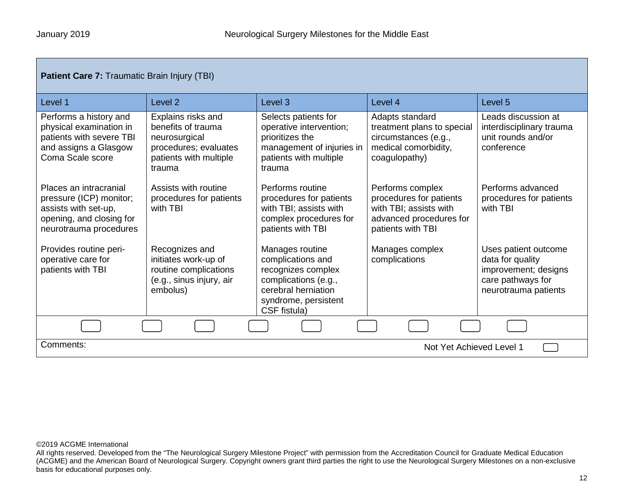| <b>Patient Care 7: Traumatic Brain Injury (TBI)</b>                                                                             |                                                                                                                        |                                                                                                                                                   |                                                                                                                       |                                                                                                               |
|---------------------------------------------------------------------------------------------------------------------------------|------------------------------------------------------------------------------------------------------------------------|---------------------------------------------------------------------------------------------------------------------------------------------------|-----------------------------------------------------------------------------------------------------------------------|---------------------------------------------------------------------------------------------------------------|
| Level 1                                                                                                                         | Level <sub>2</sub>                                                                                                     | Level <sub>3</sub>                                                                                                                                | Level 4                                                                                                               | Level <sub>5</sub>                                                                                            |
| Performs a history and<br>physical examination in<br>patients with severe TBI<br>and assigns a Glasgow<br>Coma Scale score      | Explains risks and<br>benefits of trauma<br>neurosurgical<br>procedures; evaluates<br>patients with multiple<br>trauma | Selects patients for<br>operative intervention;<br>prioritizes the<br>management of injuries in<br>patients with multiple<br>trauma               | Adapts standard<br>treatment plans to special<br>circumstances (e.g.,<br>medical comorbidity,<br>coagulopathy)        | Leads discussion at<br>interdisciplinary trauma<br>unit rounds and/or<br>conference                           |
| Places an intracranial<br>pressure (ICP) monitor;<br>assists with set-up,<br>opening, and closing for<br>neurotrauma procedures | Assists with routine<br>procedures for patients<br>with TBI                                                            | Performs routine<br>procedures for patients<br>with TBI; assists with<br>complex procedures for<br>patients with TBI                              | Performs complex<br>procedures for patients<br>with TBI; assists with<br>advanced procedures for<br>patients with TBI | Performs advanced<br>procedures for patients<br>with TBI                                                      |
| Provides routine peri-<br>operative care for<br>patients with TBI                                                               | Recognizes and<br>initiates work-up of<br>routine complications<br>(e.g., sinus injury, air<br>embolus)                | Manages routine<br>complications and<br>recognizes complex<br>complications (e.g.,<br>cerebral herniation<br>syndrome, persistent<br>CSF fistula) | Manages complex<br>complications                                                                                      | Uses patient outcome<br>data for quality<br>improvement; designs<br>care pathways for<br>neurotrauma patients |
|                                                                                                                                 |                                                                                                                        |                                                                                                                                                   |                                                                                                                       |                                                                                                               |
| Comments:<br>Not Yet Achieved Level 1                                                                                           |                                                                                                                        |                                                                                                                                                   |                                                                                                                       |                                                                                                               |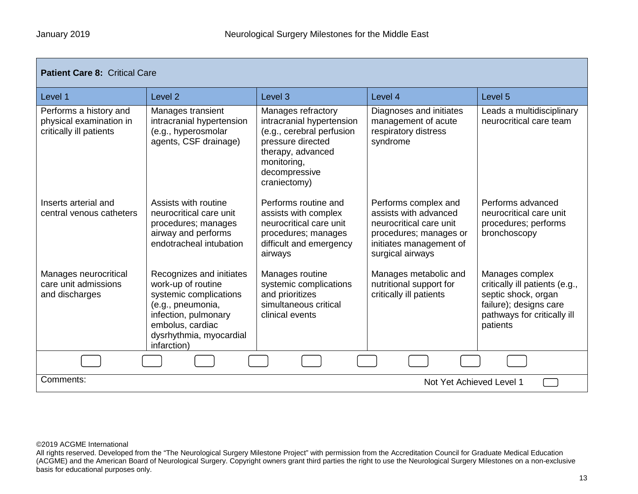| <b>Patient Care 8: Critical Care</b>                                         |                                                                                                                                                                                     |                                                                                                                                                                        |                                                                                                                                                   |                                                                                                                                               |  |
|------------------------------------------------------------------------------|-------------------------------------------------------------------------------------------------------------------------------------------------------------------------------------|------------------------------------------------------------------------------------------------------------------------------------------------------------------------|---------------------------------------------------------------------------------------------------------------------------------------------------|-----------------------------------------------------------------------------------------------------------------------------------------------|--|
| Level 1                                                                      | Level <sub>2</sub>                                                                                                                                                                  | Level <sub>3</sub>                                                                                                                                                     | Level 4                                                                                                                                           | Level <sub>5</sub>                                                                                                                            |  |
| Performs a history and<br>physical examination in<br>critically ill patients | Manages transient<br>intracranial hypertension<br>(e.g., hyperosmolar<br>agents, CSF drainage)                                                                                      | Manages refractory<br>intracranial hypertension<br>(e.g., cerebral perfusion<br>pressure directed<br>therapy, advanced<br>monitoring,<br>decompressive<br>craniectomy) | Diagnoses and initiates<br>management of acute<br>respiratory distress<br>syndrome                                                                | Leads a multidisciplinary<br>neurocritical care team                                                                                          |  |
| Inserts arterial and<br>central venous catheters                             | Assists with routine<br>neurocritical care unit<br>procedures; manages<br>airway and performs<br>endotracheal intubation                                                            | Performs routine and<br>assists with complex<br>neurocritical care unit<br>procedures; manages<br>difficult and emergency<br>airways                                   | Performs complex and<br>assists with advanced<br>neurocritical care unit<br>procedures; manages or<br>initiates management of<br>surgical airways | Performs advanced<br>neurocritical care unit<br>procedures; performs<br>bronchoscopy                                                          |  |
| Manages neurocritical<br>care unit admissions<br>and discharges              | Recognizes and initiates<br>work-up of routine<br>systemic complications<br>(e.g., pneumonia,<br>infection, pulmonary<br>embolus, cardiac<br>dysrhythmia, myocardial<br>infarction) | Manages routine<br>systemic complications<br>and prioritizes<br>simultaneous critical<br>clinical events                                                               | Manages metabolic and<br>nutritional support for<br>critically ill patients                                                                       | Manages complex<br>critically ill patients (e.g.,<br>septic shock, organ<br>failure); designs care<br>pathways for critically ill<br>patients |  |
|                                                                              |                                                                                                                                                                                     |                                                                                                                                                                        |                                                                                                                                                   |                                                                                                                                               |  |
| Comments:                                                                    | Not Yet Achieved Level 1                                                                                                                                                            |                                                                                                                                                                        |                                                                                                                                                   |                                                                                                                                               |  |

All rights reserved. Developed from the "The Neurological Surgery Milestone Project" with permission from the Accreditation Council for Graduate Medical Education (ACGME) and the American Board of Neurological Surgery. Copyright owners grant third parties the right to use the Neurological Surgery Milestones on a non-exclusive basis for educational purposes only.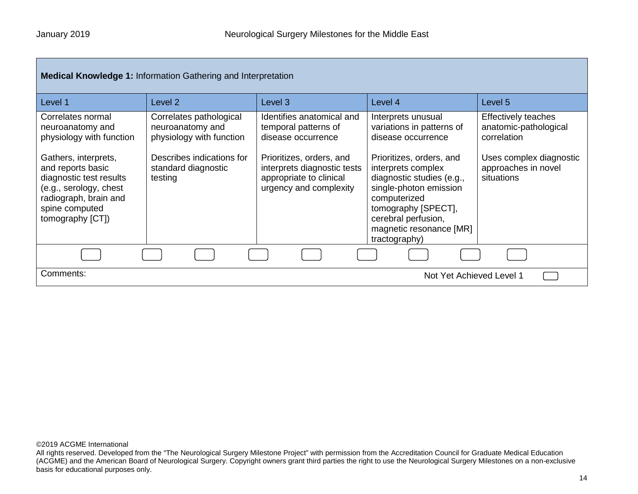| <b>Medical Knowledge 1: Information Gathering and Interpretation</b>                                                                                          |                                                                         |                                                                                                              |                                                                                                                                                                                                                 |                                                                    |
|---------------------------------------------------------------------------------------------------------------------------------------------------------------|-------------------------------------------------------------------------|--------------------------------------------------------------------------------------------------------------|-----------------------------------------------------------------------------------------------------------------------------------------------------------------------------------------------------------------|--------------------------------------------------------------------|
| Level 1                                                                                                                                                       | Level 2                                                                 | Level <sub>3</sub>                                                                                           | Level 4                                                                                                                                                                                                         | Level <sub>5</sub>                                                 |
| Correlates normal<br>neuroanatomy and<br>physiology with function                                                                                             | Correlates pathological<br>neuroanatomy and<br>physiology with function | Identifies anatomical and<br>temporal patterns of<br>disease occurrence                                      | Interprets unusual<br>variations in patterns of<br>disease occurrence                                                                                                                                           | <b>Effectively teaches</b><br>anatomic-pathological<br>correlation |
| Gathers, interprets,<br>and reports basic<br>diagnostic test results<br>(e.g., serology, chest<br>radiograph, brain and<br>spine computed<br>tomography [CT]) | Describes indications for<br>standard diagnostic<br>testing             | Prioritizes, orders, and<br>interprets diagnostic tests<br>appropriate to clinical<br>urgency and complexity | Prioritizes, orders, and<br>interprets complex<br>diagnostic studies (e.g.,<br>single-photon emission<br>computerized<br>tomography [SPECT],<br>cerebral perfusion,<br>magnetic resonance [MR]<br>tractography) | Uses complex diagnostic<br>approaches in novel<br>situations       |
|                                                                                                                                                               |                                                                         |                                                                                                              |                                                                                                                                                                                                                 |                                                                    |
| Comments:                                                                                                                                                     |                                                                         |                                                                                                              | Not Yet Achieved Level 1                                                                                                                                                                                        |                                                                    |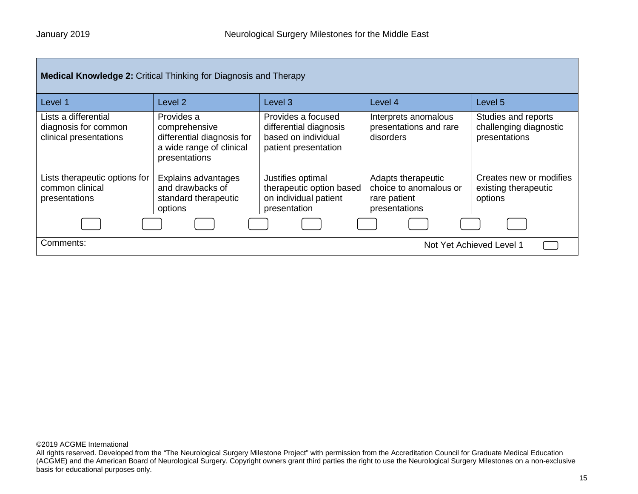| <b>Medical Knowledge 2: Critical Thinking for Diagnosis and Therapy</b> |                                                                                                        |                                                                                             |                                                                               |                                                                |
|-------------------------------------------------------------------------|--------------------------------------------------------------------------------------------------------|---------------------------------------------------------------------------------------------|-------------------------------------------------------------------------------|----------------------------------------------------------------|
| Level 1                                                                 | Level 2                                                                                                | Level 3                                                                                     | Level 4                                                                       | Level 5                                                        |
| Lists a differential<br>diagnosis for common<br>clinical presentations  | Provides a<br>comprehensive<br>differential diagnosis for<br>a wide range of clinical<br>presentations | Provides a focused<br>differential diagnosis<br>based on individual<br>patient presentation | Interprets anomalous<br>presentations and rare<br>disorders                   | Studies and reports<br>challenging diagnostic<br>presentations |
| Lists therapeutic options for<br>common clinical<br>presentations       | Explains advantages<br>and drawbacks of<br>standard therapeutic<br>options                             | Justifies optimal<br>therapeutic option based<br>on individual patient<br>presentation      | Adapts therapeutic<br>choice to anomalous or<br>rare patient<br>presentations | Creates new or modifies<br>existing therapeutic<br>options     |
|                                                                         |                                                                                                        |                                                                                             |                                                                               |                                                                |
| Comments:<br>Not Yet Achieved Level 1                                   |                                                                                                        |                                                                                             |                                                                               |                                                                |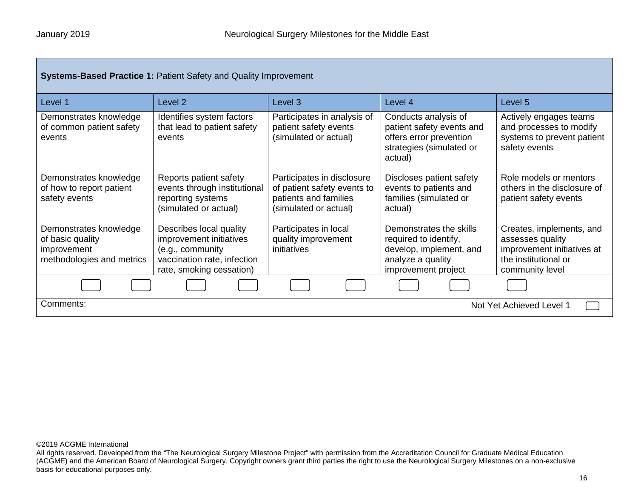| <b>Systems-Based Practice 1: Patient Safety and Quality Improvement</b>                |                                                                                                                                   |                                                                                                             |                                                                                                                         |                                                                                                                       |
|----------------------------------------------------------------------------------------|-----------------------------------------------------------------------------------------------------------------------------------|-------------------------------------------------------------------------------------------------------------|-------------------------------------------------------------------------------------------------------------------------|-----------------------------------------------------------------------------------------------------------------------|
| Level 1                                                                                | Level <sub>2</sub>                                                                                                                | Level 3                                                                                                     | Level 4                                                                                                                 | Level 5                                                                                                               |
| Demonstrates knowledge<br>of common patient safety<br>events                           | Identifies system factors<br>that lead to patient safety<br>events                                                                | Participates in analysis of<br>patient safety events<br>(simulated or actual)                               | Conducts analysis of<br>patient safety events and<br>offers error prevention<br>strategies (simulated or<br>actual)     | Actively engages teams<br>and processes to modify<br>systems to prevent patient<br>safety events                      |
| Demonstrates knowledge<br>of how to report patient<br>safety events                    | Reports patient safety<br>events through institutional<br>reporting systems<br>(simulated or actual)                              | Participates in disclosure<br>of patient safety events to<br>patients and families<br>(simulated or actual) | Discloses patient safety<br>events to patients and<br>families (simulated or<br>actual)                                 | Role models or mentors<br>others in the disclosure of<br>patient safety events                                        |
| Demonstrates knowledge<br>of basic quality<br>improvement<br>methodologies and metrics | Describes local quality<br>improvement initiatives<br>(e.g., community<br>vaccination rate, infection<br>rate, smoking cessation) | Participates in local<br>quality improvement<br>initiatives                                                 | Demonstrates the skills<br>required to identify,<br>develop, implement, and<br>analyze a quality<br>improvement project | Creates, implements, and<br>assesses quality<br>improvement initiatives at<br>the institutional or<br>community level |
|                                                                                        |                                                                                                                                   |                                                                                                             |                                                                                                                         |                                                                                                                       |
| Comments:<br>Not Yet Achieved Level 1                                                  |                                                                                                                                   |                                                                                                             |                                                                                                                         |                                                                                                                       |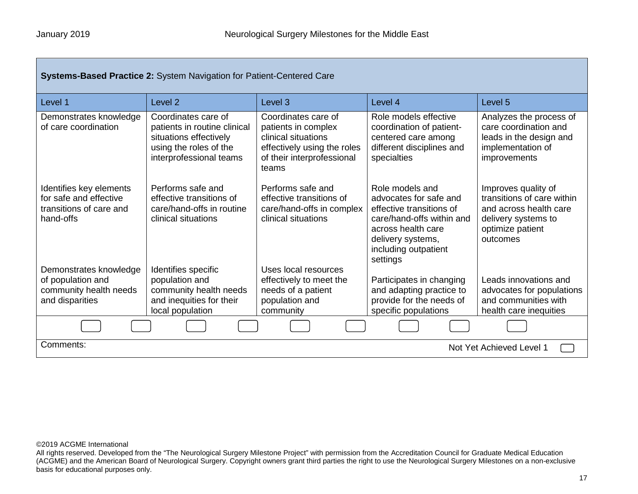г

| <b>Systems-Based Practice 2: System Navigation for Patient-Centered Care</b>              |                                                                                                                                    |                                                                                                                                         |                                                                                                                                                                                   |                                                                                                                                    |
|-------------------------------------------------------------------------------------------|------------------------------------------------------------------------------------------------------------------------------------|-----------------------------------------------------------------------------------------------------------------------------------------|-----------------------------------------------------------------------------------------------------------------------------------------------------------------------------------|------------------------------------------------------------------------------------------------------------------------------------|
| Level 1                                                                                   | Level <sub>2</sub>                                                                                                                 | Level <sub>3</sub>                                                                                                                      | Level 4                                                                                                                                                                           | Level 5                                                                                                                            |
| Demonstrates knowledge<br>of care coordination                                            | Coordinates care of<br>patients in routine clinical<br>situations effectively<br>using the roles of the<br>interprofessional teams | Coordinates care of<br>patients in complex<br>clinical situations<br>effectively using the roles<br>of their interprofessional<br>teams | Role models effective<br>coordination of patient-<br>centered care among<br>different disciplines and<br>specialties                                                              | Analyzes the process of<br>care coordination and<br>leads in the design and<br>implementation of<br>improvements                   |
| Identifies key elements<br>for safe and effective<br>transitions of care and<br>hand-offs | Performs safe and<br>effective transitions of<br>care/hand-offs in routine<br>clinical situations                                  | Performs safe and<br>effective transitions of<br>care/hand-offs in complex<br>clinical situations                                       | Role models and<br>advocates for safe and<br>effective transitions of<br>care/hand-offs within and<br>across health care<br>delivery systems,<br>including outpatient<br>settings | Improves quality of<br>transitions of care within<br>and across health care<br>delivery systems to<br>optimize patient<br>outcomes |
| Demonstrates knowledge<br>of population and                                               | Identifies specific<br>population and                                                                                              | Uses local resources                                                                                                                    |                                                                                                                                                                                   | Leads innovations and                                                                                                              |
| community health needs<br>and disparities                                                 | community health needs<br>and inequities for their<br>local population                                                             | effectively to meet the<br>needs of a patient<br>population and<br>community                                                            | Participates in changing<br>and adapting practice to<br>provide for the needs of<br>specific populations                                                                          | advocates for populations<br>and communities with<br>health care inequities                                                        |
|                                                                                           |                                                                                                                                    |                                                                                                                                         |                                                                                                                                                                                   |                                                                                                                                    |
| Comments:<br>Not Yet Achieved Level 1                                                     |                                                                                                                                    |                                                                                                                                         |                                                                                                                                                                                   |                                                                                                                                    |

©2019 ACGME International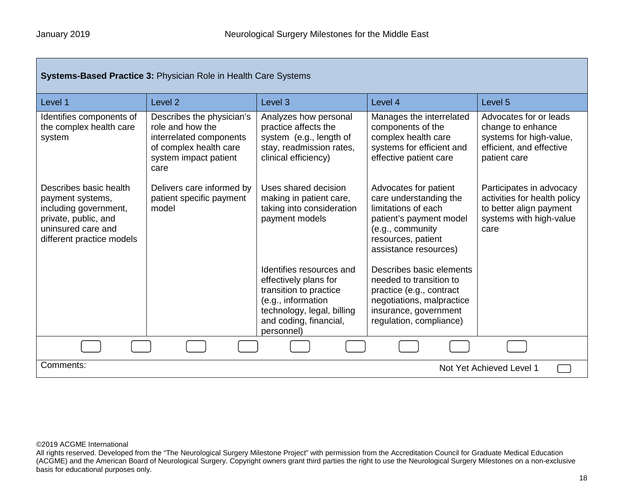Г

| <b>Systems-Based Practice 3: Physician Role in Health Care Systems</b>                                                                         |                                                                                                                                     |                                                                                                                                                                         |                                                                                                                                                                      |                                                                                                                        |
|------------------------------------------------------------------------------------------------------------------------------------------------|-------------------------------------------------------------------------------------------------------------------------------------|-------------------------------------------------------------------------------------------------------------------------------------------------------------------------|----------------------------------------------------------------------------------------------------------------------------------------------------------------------|------------------------------------------------------------------------------------------------------------------------|
| Level 1                                                                                                                                        | Level <sub>2</sub>                                                                                                                  | Level 3                                                                                                                                                                 | Level 4                                                                                                                                                              | Level 5                                                                                                                |
| Identifies components of<br>the complex health care<br>system                                                                                  | Describes the physician's<br>role and how the<br>interrelated components<br>of complex health care<br>system impact patient<br>care | Analyzes how personal<br>practice affects the<br>system (e.g., length of<br>stay, readmission rates,<br>clinical efficiency)                                            | Manages the interrelated<br>components of the<br>complex health care<br>systems for efficient and<br>effective patient care                                          | Advocates for or leads<br>change to enhance<br>systems for high-value,<br>efficient, and effective<br>patient care     |
| Describes basic health<br>payment systems,<br>including government,<br>private, public, and<br>uninsured care and<br>different practice models | Delivers care informed by<br>patient specific payment<br>model                                                                      | Uses shared decision<br>making in patient care,<br>taking into consideration<br>payment models                                                                          | Advocates for patient<br>care understanding the<br>limitations of each<br>patient's payment model<br>(e.g., community<br>resources, patient<br>assistance resources) | Participates in advocacy<br>activities for health policy<br>to better align payment<br>systems with high-value<br>care |
|                                                                                                                                                |                                                                                                                                     | Identifies resources and<br>effectively plans for<br>transition to practice<br>(e.g., information<br>technology, legal, billing<br>and coding, financial,<br>personnel) | Describes basic elements<br>needed to transition to<br>practice (e.g., contract<br>negotiations, malpractice<br>insurance, government<br>regulation, compliance)     |                                                                                                                        |
|                                                                                                                                                |                                                                                                                                     |                                                                                                                                                                         |                                                                                                                                                                      |                                                                                                                        |
| Comments:<br>Not Yet Achieved Level 1                                                                                                          |                                                                                                                                     |                                                                                                                                                                         |                                                                                                                                                                      |                                                                                                                        |

#### ©2019 ACGME International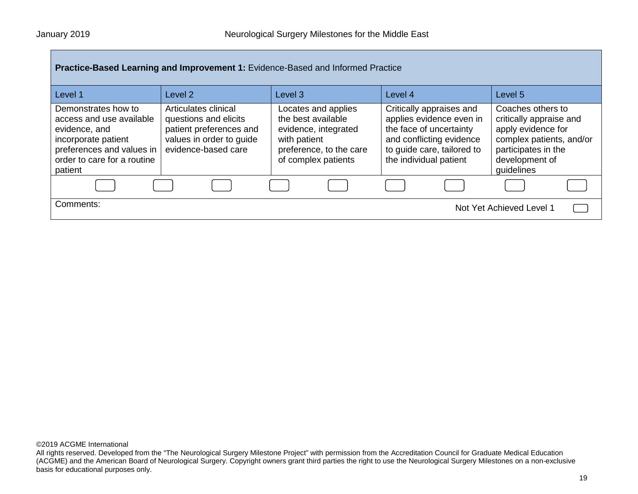| Practice-Based Learning and Improvement 1: Evidence-Based and Informed Practice                                                                                |                                                                                                                             |                                                                                                                                     |                                                                                                                                                                     |                                                                                                                                                       |
|----------------------------------------------------------------------------------------------------------------------------------------------------------------|-----------------------------------------------------------------------------------------------------------------------------|-------------------------------------------------------------------------------------------------------------------------------------|---------------------------------------------------------------------------------------------------------------------------------------------------------------------|-------------------------------------------------------------------------------------------------------------------------------------------------------|
| Level 1                                                                                                                                                        | Level <sub>2</sub>                                                                                                          | Level <sub>3</sub>                                                                                                                  | Level 4                                                                                                                                                             | Level 5                                                                                                                                               |
| Demonstrates how to<br>access and use available<br>evidence, and<br>incorporate patient<br>preferences and values in<br>order to care for a routine<br>patient | Articulates clinical<br>questions and elicits<br>patient preferences and<br>values in order to guide<br>evidence-based care | Locates and applies<br>the best available<br>evidence, integrated<br>with patient<br>preference, to the care<br>of complex patients | Critically appraises and<br>applies evidence even in<br>the face of uncertainty<br>and conflicting evidence<br>to guide care, tailored to<br>the individual patient | Coaches others to<br>critically appraise and<br>apply evidence for<br>complex patients, and/or<br>participates in the<br>development of<br>guidelines |
|                                                                                                                                                                |                                                                                                                             |                                                                                                                                     |                                                                                                                                                                     |                                                                                                                                                       |
| Comments:                                                                                                                                                      |                                                                                                                             |                                                                                                                                     |                                                                                                                                                                     | Not Yet Achieved Level 1                                                                                                                              |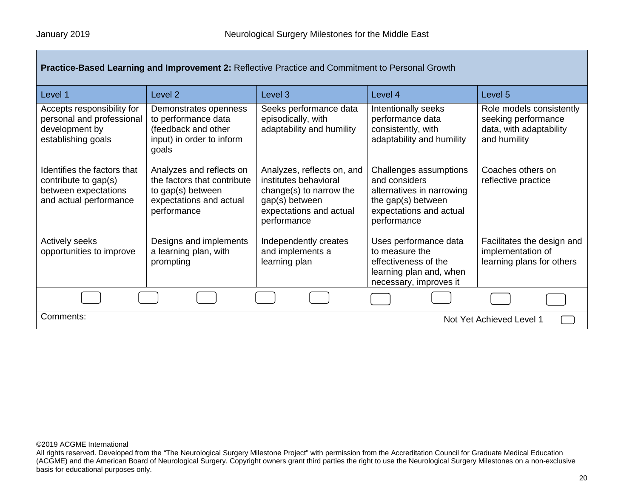| <b>Practice-Based Learning and Improvement 2: Reflective Practice and Commitment to Personal Growth</b> |  |  |
|---------------------------------------------------------------------------------------------------------|--|--|
|                                                                                                         |  |  |

| Level 1                                                                                               | Level 2                                                                                                                | Level <sub>3</sub>                                                                                                                         | Level 4                                                                                                                              | Level 5                                                                                    |  |
|-------------------------------------------------------------------------------------------------------|------------------------------------------------------------------------------------------------------------------------|--------------------------------------------------------------------------------------------------------------------------------------------|--------------------------------------------------------------------------------------------------------------------------------------|--------------------------------------------------------------------------------------------|--|
| Accepts responsibility for<br>personal and professional<br>development by<br>establishing goals       | Demonstrates openness<br>to performance data<br>(feedback and other<br>input) in order to inform<br>goals              | Seeks performance data<br>episodically, with<br>adaptability and humility                                                                  | Intentionally seeks<br>performance data<br>consistently, with<br>adaptability and humility                                           | Role models consistently<br>seeking performance<br>data, with adaptability<br>and humility |  |
| Identifies the factors that<br>contribute to gap(s)<br>between expectations<br>and actual performance | Analyzes and reflects on<br>the factors that contribute<br>to gap(s) between<br>expectations and actual<br>performance | Analyzes, reflects on, and<br>institutes behavioral<br>change(s) to narrow the<br>gap(s) between<br>expectations and actual<br>performance | Challenges assumptions<br>and considers<br>alternatives in narrowing<br>the gap(s) between<br>expectations and actual<br>performance | Coaches others on<br>reflective practice                                                   |  |
| <b>Actively seeks</b><br>opportunities to improve                                                     | Designs and implements<br>a learning plan, with<br>prompting                                                           | Independently creates<br>and implements a<br>learning plan                                                                                 | Uses performance data<br>to measure the<br>effectiveness of the<br>learning plan and, when<br>necessary, improves it                 | Facilitates the design and<br>implementation of<br>learning plans for others               |  |
|                                                                                                       |                                                                                                                        |                                                                                                                                            |                                                                                                                                      |                                                                                            |  |
| Comments:                                                                                             | Not Yet Achieved Level 1                                                                                               |                                                                                                                                            |                                                                                                                                      |                                                                                            |  |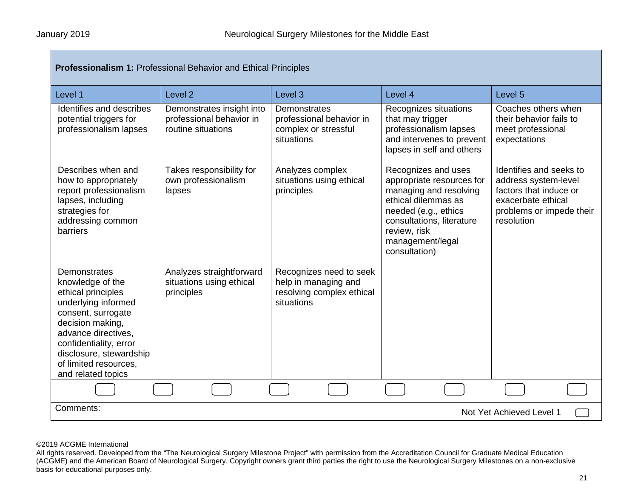| <b>Professionalism 1: Professional Behavior and Ethical Principles</b>                                                                                                                                                                             |                                                                             |                                                                                            |                                                                                                                                                                                                             |                                                                                                                                           |
|----------------------------------------------------------------------------------------------------------------------------------------------------------------------------------------------------------------------------------------------------|-----------------------------------------------------------------------------|--------------------------------------------------------------------------------------------|-------------------------------------------------------------------------------------------------------------------------------------------------------------------------------------------------------------|-------------------------------------------------------------------------------------------------------------------------------------------|
| Level 1                                                                                                                                                                                                                                            | Level <sub>2</sub>                                                          | Level 3                                                                                    | Level 4                                                                                                                                                                                                     | Level <sub>5</sub>                                                                                                                        |
| Identifies and describes<br>potential triggers for<br>professionalism lapses                                                                                                                                                                       | Demonstrates insight into<br>professional behavior in<br>routine situations | Demonstrates<br>professional behavior in<br>complex or stressful<br>situations             | Recognizes situations<br>that may trigger<br>professionalism lapses<br>and intervenes to prevent<br>lapses in self and others                                                                               | Coaches others when<br>their behavior fails to<br>meet professional<br>expectations                                                       |
| Describes when and<br>how to appropriately<br>report professionalism<br>lapses, including<br>strategies for<br>addressing common<br>barriers                                                                                                       | Takes responsibility for<br>own professionalism<br>lapses                   | Analyzes complex<br>situations using ethical<br>principles                                 | Recognizes and uses<br>appropriate resources for<br>managing and resolving<br>ethical dilemmas as<br>needed (e.g., ethics<br>consultations, literature<br>review, risk<br>management/legal<br>consultation) | Identifies and seeks to<br>address system-level<br>factors that induce or<br>exacerbate ethical<br>problems or impede their<br>resolution |
| Demonstrates<br>knowledge of the<br>ethical principles<br>underlying informed<br>consent, surrogate<br>decision making,<br>advance directives.<br>confidentiality, error<br>disclosure, stewardship<br>of limited resources.<br>and related topics | Analyzes straightforward<br>situations using ethical<br>principles          | Recognizes need to seek<br>help in managing and<br>resolving complex ethical<br>situations |                                                                                                                                                                                                             |                                                                                                                                           |
|                                                                                                                                                                                                                                                    |                                                                             |                                                                                            |                                                                                                                                                                                                             |                                                                                                                                           |
| Comments:<br>Not Yet Achieved Level 1                                                                                                                                                                                                              |                                                                             |                                                                                            |                                                                                                                                                                                                             |                                                                                                                                           |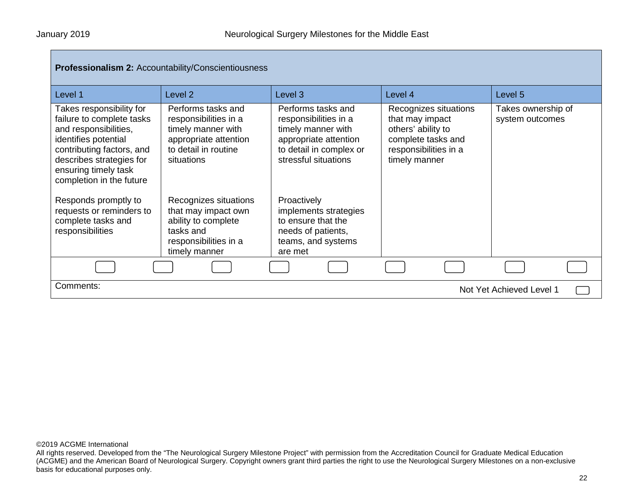| <b>Professionalism 2: Accountability/Conscientiousness</b>                                                                                                                                                                                                                                                        |                                                                                                                                                                                                                      |                                                                                                                                                                                                                                   |                                                                                                                                |                                       |
|-------------------------------------------------------------------------------------------------------------------------------------------------------------------------------------------------------------------------------------------------------------------------------------------------------------------|----------------------------------------------------------------------------------------------------------------------------------------------------------------------------------------------------------------------|-----------------------------------------------------------------------------------------------------------------------------------------------------------------------------------------------------------------------------------|--------------------------------------------------------------------------------------------------------------------------------|---------------------------------------|
| Level 1                                                                                                                                                                                                                                                                                                           | Level 2                                                                                                                                                                                                              | Level 3                                                                                                                                                                                                                           | Level 4                                                                                                                        | Level 5                               |
| Takes responsibility for<br>failure to complete tasks<br>and responsibilities,<br>identifies potential<br>contributing factors, and<br>describes strategies for<br>ensuring timely task<br>completion in the future<br>Responds promptly to<br>requests or reminders to<br>complete tasks and<br>responsibilities | Performs tasks and<br>responsibilities in a<br>timely manner with<br>appropriate attention<br>to detail in routine<br>situations<br>Recognizes situations<br>that may impact own<br>ability to complete<br>tasks and | Performs tasks and<br>responsibilities in a<br>timely manner with<br>appropriate attention<br>to detail in complex or<br>stressful situations<br>Proactively<br>implements strategies<br>to ensure that the<br>needs of patients, | Recognizes situations<br>that may impact<br>others' ability to<br>complete tasks and<br>responsibilities in a<br>timely manner | Takes ownership of<br>system outcomes |
|                                                                                                                                                                                                                                                                                                                   | responsibilities in a<br>timely manner                                                                                                                                                                               | teams, and systems<br>are met                                                                                                                                                                                                     |                                                                                                                                |                                       |
|                                                                                                                                                                                                                                                                                                                   |                                                                                                                                                                                                                      |                                                                                                                                                                                                                                   |                                                                                                                                |                                       |
| Comments:<br>Not Yet Achieved Level 1                                                                                                                                                                                                                                                                             |                                                                                                                                                                                                                      |                                                                                                                                                                                                                                   |                                                                                                                                |                                       |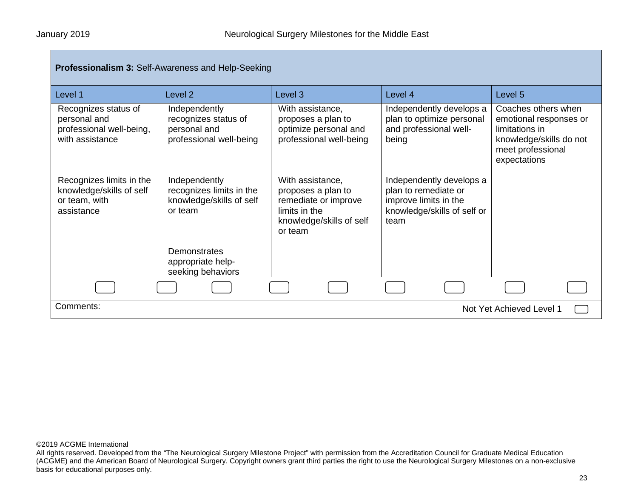| Professionalism 3: Self-Awareness and Help-Seeking                                  |                                                                                                  |                                                                                                                        |                                                                                                                  |                                                                                                                                 |  |
|-------------------------------------------------------------------------------------|--------------------------------------------------------------------------------------------------|------------------------------------------------------------------------------------------------------------------------|------------------------------------------------------------------------------------------------------------------|---------------------------------------------------------------------------------------------------------------------------------|--|
| Level 1                                                                             | Level <sub>2</sub>                                                                               | Level 3                                                                                                                | Level 4                                                                                                          | Level 5                                                                                                                         |  |
| Recognizes status of<br>personal and<br>professional well-being,<br>with assistance | Independently<br>recognizes status of<br>personal and<br>professional well-being                 | With assistance,<br>proposes a plan to<br>optimize personal and<br>professional well-being                             | Independently develops a<br>plan to optimize personal<br>and professional well-<br>being                         | Coaches others when<br>emotional responses or<br>limitations in<br>knowledge/skills do not<br>meet professional<br>expectations |  |
| Recognizes limits in the<br>knowledge/skills of self<br>or team, with<br>assistance | Independently<br>recognizes limits in the<br>knowledge/skills of self<br>or team<br>Demonstrates | With assistance,<br>proposes a plan to<br>remediate or improve<br>limits in the<br>knowledge/skills of self<br>or team | Independently develops a<br>plan to remediate or<br>improve limits in the<br>knowledge/skills of self or<br>team |                                                                                                                                 |  |
|                                                                                     | appropriate help-<br>seeking behaviors                                                           |                                                                                                                        |                                                                                                                  |                                                                                                                                 |  |
|                                                                                     |                                                                                                  |                                                                                                                        |                                                                                                                  |                                                                                                                                 |  |
| Comments:                                                                           |                                                                                                  |                                                                                                                        |                                                                                                                  | Not Yet Achieved Level 1                                                                                                        |  |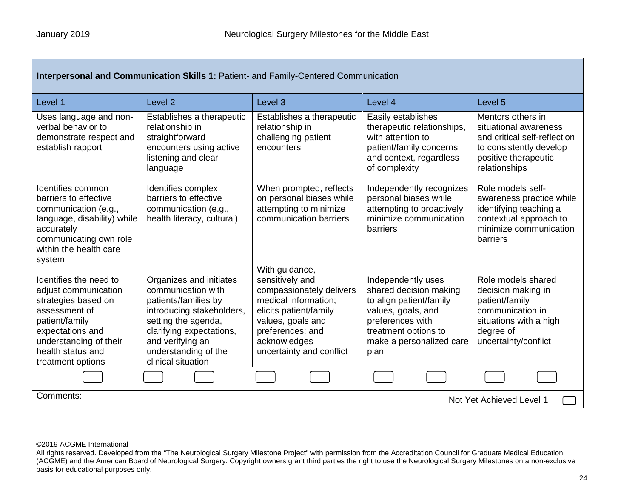| <b>Interpersonal and Communication Skills 1: Patient- and Family-Centered Communication</b>                                                                                                      |                                                                                                                                                                                                                         |                                                                                                                                                                                                      |                                                                                                                                                                               |                                                                                                                                                |
|--------------------------------------------------------------------------------------------------------------------------------------------------------------------------------------------------|-------------------------------------------------------------------------------------------------------------------------------------------------------------------------------------------------------------------------|------------------------------------------------------------------------------------------------------------------------------------------------------------------------------------------------------|-------------------------------------------------------------------------------------------------------------------------------------------------------------------------------|------------------------------------------------------------------------------------------------------------------------------------------------|
| Level 1                                                                                                                                                                                          | Level <sub>2</sub>                                                                                                                                                                                                      | Level <sub>3</sub>                                                                                                                                                                                   | Level 4                                                                                                                                                                       | Level <sub>5</sub>                                                                                                                             |
| Uses language and non-<br>verbal behavior to<br>demonstrate respect and<br>establish rapport                                                                                                     | Establishes a therapeutic<br>relationship in<br>straightforward<br>encounters using active<br>listening and clear<br>language                                                                                           | Establishes a therapeutic<br>relationship in<br>challenging patient<br>encounters                                                                                                                    | Easily establishes<br>therapeutic relationships,<br>with attention to<br>patient/family concerns<br>and context, regardless<br>of complexity                                  | Mentors others in<br>situational awareness<br>and critical self-reflection<br>to consistently develop<br>positive therapeutic<br>relationships |
| Identifies common<br>barriers to effective<br>communication (e.g.,<br>language, disability) while<br>accurately<br>communicating own role<br>within the health care<br>system                    | Identifies complex<br>barriers to effective<br>communication (e.g.,<br>health literacy, cultural)                                                                                                                       | When prompted, reflects<br>on personal biases while<br>attempting to minimize<br>communication barriers                                                                                              | Independently recognizes<br>personal biases while<br>attempting to proactively<br>minimize communication<br>barriers                                                          | Role models self-<br>awareness practice while<br>identifying teaching a<br>contextual approach to<br>minimize communication<br>barriers        |
| Identifies the need to<br>adjust communication<br>strategies based on<br>assessment of<br>patient/family<br>expectations and<br>understanding of their<br>health status and<br>treatment options | Organizes and initiates<br>communication with<br>patients/families by<br>introducing stakeholders,<br>setting the agenda,<br>clarifying expectations,<br>and verifying an<br>understanding of the<br>clinical situation | With guidance,<br>sensitively and<br>compassionately delivers<br>medical information;<br>elicits patient/family<br>values, goals and<br>preferences; and<br>acknowledges<br>uncertainty and conflict | Independently uses<br>shared decision making<br>to align patient/family<br>values, goals, and<br>preferences with<br>treatment options to<br>make a personalized care<br>plan | Role models shared<br>decision making in<br>patient/family<br>communication in<br>situations with a high<br>degree of<br>uncertainty/conflict  |
|                                                                                                                                                                                                  |                                                                                                                                                                                                                         |                                                                                                                                                                                                      |                                                                                                                                                                               |                                                                                                                                                |
| Comments:<br>Not Yet Achieved Level 1                                                                                                                                                            |                                                                                                                                                                                                                         |                                                                                                                                                                                                      |                                                                                                                                                                               |                                                                                                                                                |

All rights reserved. Developed from the "The Neurological Surgery Milestone Project" with permission from the Accreditation Council for Graduate Medical Education (ACGME) and the American Board of Neurological Surgery. Copyright owners grant third parties the right to use the Neurological Surgery Milestones on a non-exclusive basis for educational purposes only.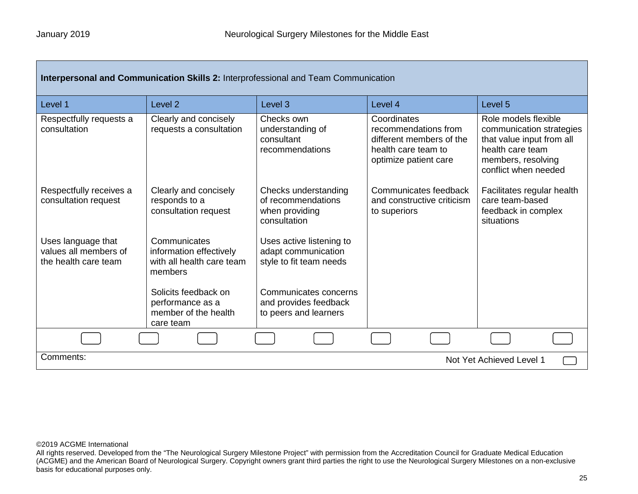| Interpersonal and Communication Skills 2: Interprofessional and Team Communication |                                                                                 |                                                                              |                                                                                                                 |                                                                                                                                                 |
|------------------------------------------------------------------------------------|---------------------------------------------------------------------------------|------------------------------------------------------------------------------|-----------------------------------------------------------------------------------------------------------------|-------------------------------------------------------------------------------------------------------------------------------------------------|
| Level 1                                                                            | Level <sub>2</sub>                                                              | Level <sub>3</sub>                                                           | Level 4                                                                                                         | Level <sub>5</sub>                                                                                                                              |
| Respectfully requests a<br>consultation                                            | Clearly and concisely<br>requests a consultation                                | Checks own<br>understanding of<br>consultant<br>recommendations              | Coordinates<br>recommendations from<br>different members of the<br>health care team to<br>optimize patient care | Role models flexible<br>communication strategies<br>that value input from all<br>health care team<br>members, resolving<br>conflict when needed |
| Respectfully receives a<br>consultation request                                    | Clearly and concisely<br>responds to a<br>consultation request                  | Checks understanding<br>of recommendations<br>when providing<br>consultation | Communicates feedback<br>and constructive criticism<br>to superiors                                             | Facilitates regular health<br>care team-based<br>feedback in complex<br>situations                                                              |
| Uses language that<br>values all members of<br>the health care team                | Communicates<br>information effectively<br>with all health care team<br>members | Uses active listening to<br>adapt communication<br>style to fit team needs   |                                                                                                                 |                                                                                                                                                 |
|                                                                                    | Solicits feedback on<br>performance as a<br>member of the health<br>care team   | Communicates concerns<br>and provides feedback<br>to peers and learners      |                                                                                                                 |                                                                                                                                                 |
|                                                                                    |                                                                                 |                                                                              |                                                                                                                 |                                                                                                                                                 |
| Comments:<br>Not Yet Achieved Level 1                                              |                                                                                 |                                                                              |                                                                                                                 |                                                                                                                                                 |